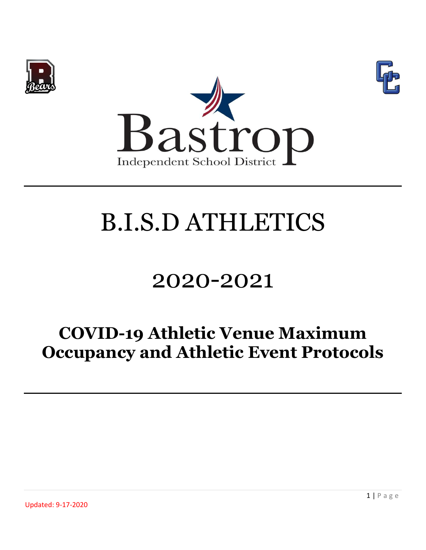





## 2020-2021

### **COVID-19 Athletic Venue Maximum Occupancy and Athletic Event Protocols**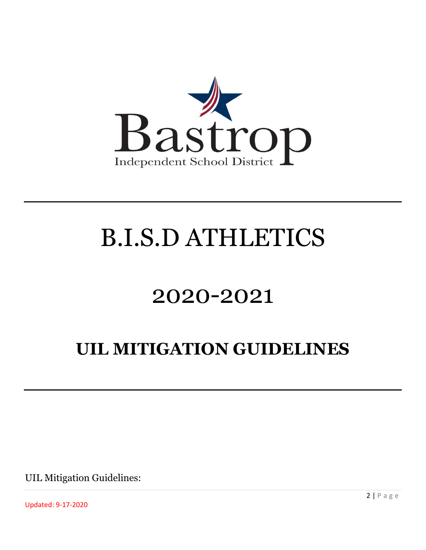

## 2020-2021

### **UIL MITIGATION GUIDELINES**

UIL Mitigation Guidelines:

Updated: 9-17-2020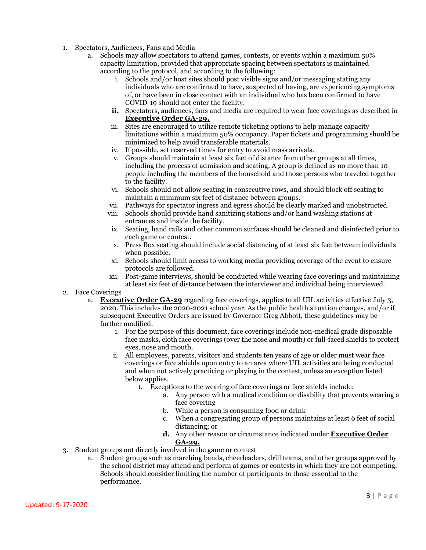- 1. Spectators, Audiences, Fans and Media
	- a. Schools may allow spectators to attend games, contests, or events within a maximum 50% capacity limitation, provided that appropriate spacing between spectators is maintained according to the protocol, and according to the following:
		- i. Schools and/or host sites should post visible signs and/or messaging stating any individuals who are confirmed to have, suspected of having, are experiencing symptoms of, or have been in close contact with an individual who has been confirmed to have COVID-19 should not enter the facility.
		- **ii.** Spectators, audiences, fans and media are required to wear face coverings as described in **Executive Order GA-29.**
		- iii. Sites are encouraged to utilize remote ticketing options to help manage capacity limitations within a maximum 50% occupancy. Paper tickets and programming should be minimized to help avoid transferable materials.
		- iv. If possible, set reserved times for entry to avoid mass arrivals.
		- v. Groups should maintain at least six feet of distance from other groups at all times, including the process of admission and seating. A group is defined as no more than 10 people including the members of the household and those persons who traveled together to the facility.
		- vi. Schools should not allow seating in consecutive rows, and should block off seating to maintain a minimum six feet of distance between groups.
		- vii. Pathways for spectator ingress and egress should be clearly marked and unobstructed.
		- viii. Schools should provide hand sanitizing stations and/or hand washing stations at entrances and inside the facility.
		- ix. Seating, hand rails and other common surfaces should be cleaned and disinfected prior to each game or contest.
		- x. Press Box seating should include social distancing of at least six feet between individuals when possible.
		- xi. Schools should limit access to working media providing coverage of the event to ensure protocols are followed.
		- xii. Post-game interviews, should be conducted while wearing face coverings and maintaining at least six feet of distance between the interviewer and individual being interviewed.
- 2. Face Coverings
	- a. **Executive Order GA-29** regarding face coverings, applies to all UIL activities effective July 3, 2020. This includes the 2020-2021 school year. As the public health situation changes, and/or if subsequent Executive Orders are issued by Governor Greg Abbott, these guidelines may be further modified.
		- i. For the purpose of this document, face coverings include non-medical grade disposable face masks, cloth face coverings (over the nose and mouth) or full-faced shields to protect eyes, nose and mouth.
		- ii. All employees, parents, visitors and students ten years of age or older must wear face coverings or face shields upon entry to an area where UIL activities are being conducted and when not actively practicing or playing in the contest, unless an exception listed below applies.
			- 1. Exceptions to the wearing of face coverings or face shields include:
				- a. Any person with a medical condition or disability that prevents wearing a face covering
				- b. While a person is consuming food or drink
				- c. When a congregating group of persons maintains at least 6 feet of social distancing; or
				- **d.** Any other reason or circumstance indicated under **Executive Order GA-29.**
- 3. Student groups not directly involved in the game or contest
	- a. Student groups such as marching bands, cheerleaders, drill teams, and other groups approved by the school district may attend and perform at games or contests in which they are not competing. Schools should consider limiting the number of participants to those essential to the performance.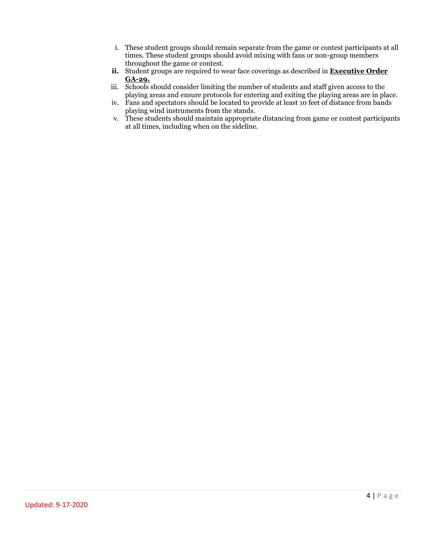- i. These student groups should remain separate from the game or contest participants at all times. These student groups should avoid mixing with fans or non-group members throughout the game or contest.
- **ii.** Student groups are required to wear face coverings as described in **Executive Order GA-29.**
- iii. Schools should consider limiting the number of students and staff given access to the playing areas and ensure protocols for entering and exiting the playing areas are in place.
- iv. Fans and spectators should be located to provide at least 10 feet of distance from bands playing wind instruments from the stands.
- v. These students should maintain appropriate distancing from game or contest participants at all times, including when on the sideline.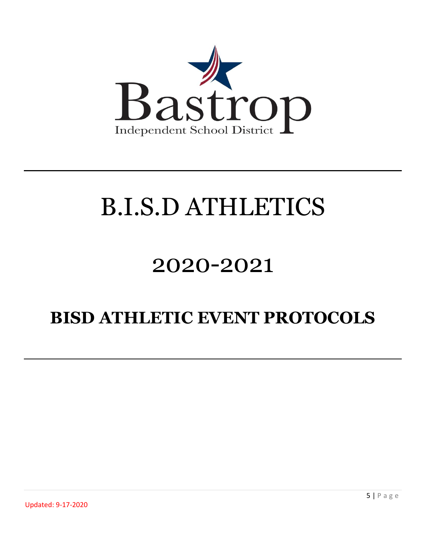

## 2020-2021

### **BISD ATHLETIC EVENT PROTOCOLS**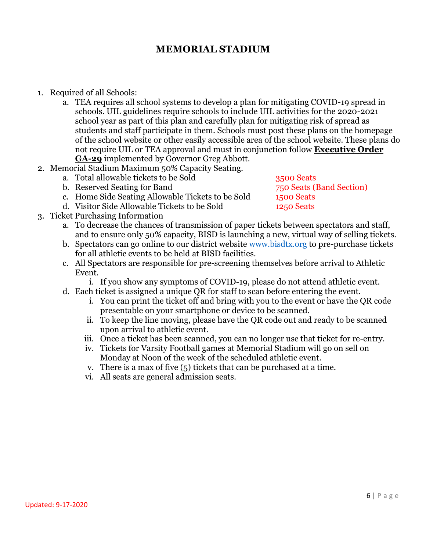#### **MEMORIAL STADIUM**

- 1. Required of all Schools:
	- a. TEA requires all school systems to develop a plan for mitigating COVID-19 spread in schools. UIL guidelines require schools to include UIL activities for the 2020-2021 school year as part of this plan and carefully plan for mitigating risk of spread as students and staff participate in them. Schools must post these plans on the homepage of the school website or other easily accessible area of the school website. These plans do not require UIL or TEA approval and must in conjunction follow **Executive Order GA-29** implemented by Governor Greg Abbott.
- 2. Memorial Stadium Maximum 50% Capacity Seating.
	- a. Total allowable tickets to be Sold 3500 Seats
		- b. Reserved Seating for Band 750 Seats (Band Section)
		- c. Home Side Seating Allowable Tickets to be Sold 1500 Seats
		- d. Visitor Side Allowable Tickets to be Sold 1250 Seats
- 3. Ticket Purchasing Information
	- a. To decrease the chances of transmission of paper tickets between spectators and staff, and to ensure only 50% capacity, BISD is launching a new, virtual way of selling tickets.
	- b. Spectators can go online to our district website [www.bisdtx.org](http://www.bisdtx.org/) to pre-purchase tickets for all athletic events to be held at BISD facilities.
	- c. All Spectators are responsible for pre-screening themselves before arrival to Athletic Event.
		- i. If you show any symptoms of COVID-19, please do not attend athletic event.
	- d. Each ticket is assigned a unique QR for staff to scan before entering the event.
		- i. You can print the ticket off and bring with you to the event or have the QR code presentable on your smartphone or device to be scanned.
		- ii. To keep the line moving, please have the QR code out and ready to be scanned upon arrival to athletic event.
		- iii. Once a ticket has been scanned, you can no longer use that ticket for re-entry.
		- iv. Tickets for Varsity Football games at Memorial Stadium will go on sell on Monday at Noon of the week of the scheduled athletic event.
		- v. There is a max of five (5) tickets that can be purchased at a time.
		- vi. All seats are general admission seats.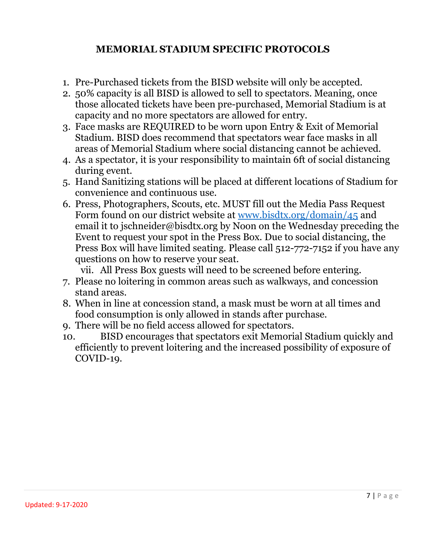#### **MEMORIAL STADIUM SPECIFIC PROTOCOLS**

- 1. Pre-Purchased tickets from the BISD website will only be accepted.
- 2. 50% capacity is all BISD is allowed to sell to spectators. Meaning, once those allocated tickets have been pre-purchased, Memorial Stadium is at capacity and no more spectators are allowed for entry.
- 3. Face masks are REQUIRED to be worn upon Entry & Exit of Memorial Stadium. BISD does recommend that spectators wear face masks in all areas of Memorial Stadium where social distancing cannot be achieved.
- 4. As a spectator, it is your responsibility to maintain 6ft of social distancing during event.
- 5. Hand Sanitizing stations will be placed at different locations of Stadium for convenience and continuous use.
- 6. Press, Photographers, Scouts, etc. MUST fill out the Media Pass Request Form found on our district website at [www.bisdtx.org/domain/45](http://www.bisdtx.org/domain/45) and email it to jschneider@bisdtx.org by Noon on the Wednesday preceding the Event to request your spot in the Press Box. Due to social distancing, the Press Box will have limited seating. Please call 512-772-7152 if you have any questions on how to reserve your seat.

vii. All Press Box guests will need to be screened before entering.

- 7. Please no loitering in common areas such as walkways, and concession stand areas.
- 8. When in line at concession stand, a mask must be worn at all times and food consumption is only allowed in stands after purchase.
- 9. There will be no field access allowed for spectators.
- 10. BISD encourages that spectators exit Memorial Stadium quickly and efficiently to prevent loitering and the increased possibility of exposure of COVID-19.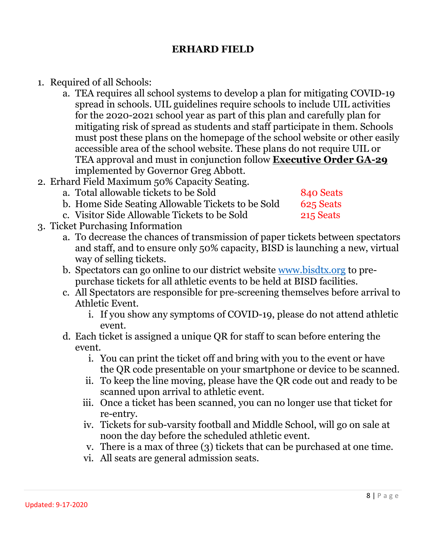#### **ERHARD FIELD**

- 1. Required of all Schools:
	- a. TEA requires all school systems to develop a plan for mitigating COVID-19 spread in schools. UIL guidelines require schools to include UIL activities for the 2020-2021 school year as part of this plan and carefully plan for mitigating risk of spread as students and staff participate in them. Schools must post these plans on the homepage of the school website or other easily accessible area of the school website. These plans do not require UIL or TEA approval and must in conjunction follow **Executive Order GA-29** implemented by Governor Greg Abbott.
- 2. Erhard Field Maximum 50% Capacity Seating.
	- a. Total allowable tickets to be Sold 840 Seats
		- b. Home Side Seating Allowable Tickets to be Sold 625 Seats
	- c. Visitor Side Allowable Tickets to be Sold 215 Seats
- 3. Ticket Purchasing Information
	- a. To decrease the chances of transmission of paper tickets between spectators and staff, and to ensure only 50% capacity, BISD is launching a new, virtual way of selling tickets.
	- b. Spectators can go online to our district website [www.bisdtx.org](http://www.bisdtx.org/) to prepurchase tickets for all athletic events to be held at BISD facilities.
	- c. All Spectators are responsible for pre-screening themselves before arrival to Athletic Event.
		- i. If you show any symptoms of COVID-19, please do not attend athletic event.
	- d. Each ticket is assigned a unique QR for staff to scan before entering the event.
		- i. You can print the ticket off and bring with you to the event or have the QR code presentable on your smartphone or device to be scanned.
		- ii. To keep the line moving, please have the QR code out and ready to be scanned upon arrival to athletic event.
		- iii. Once a ticket has been scanned, you can no longer use that ticket for re-entry.
		- iv. Tickets for sub-varsity football and Middle School, will go on sale at noon the day before the scheduled athletic event.
		- v. There is a max of three (3) tickets that can be purchased at one time.
		- vi. All seats are general admission seats.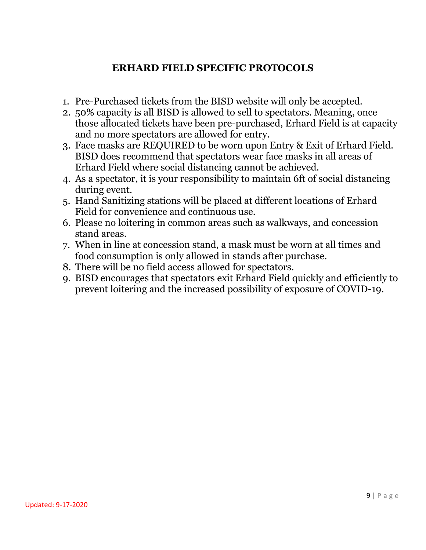#### **ERHARD FIELD SPECIFIC PROTOCOLS**

- 1. Pre-Purchased tickets from the BISD website will only be accepted.
- 2. 50% capacity is all BISD is allowed to sell to spectators. Meaning, once those allocated tickets have been pre-purchased, Erhard Field is at capacity and no more spectators are allowed for entry.
- 3. Face masks are REQUIRED to be worn upon Entry & Exit of Erhard Field. BISD does recommend that spectators wear face masks in all areas of Erhard Field where social distancing cannot be achieved.
- 4. As a spectator, it is your responsibility to maintain 6ft of social distancing during event.
- 5. Hand Sanitizing stations will be placed at different locations of Erhard Field for convenience and continuous use.
- 6. Please no loitering in common areas such as walkways, and concession stand areas.
- 7. When in line at concession stand, a mask must be worn at all times and food consumption is only allowed in stands after purchase.
- 8. There will be no field access allowed for spectators.
- 9. BISD encourages that spectators exit Erhard Field quickly and efficiently to prevent loitering and the increased possibility of exposure of COVID-19.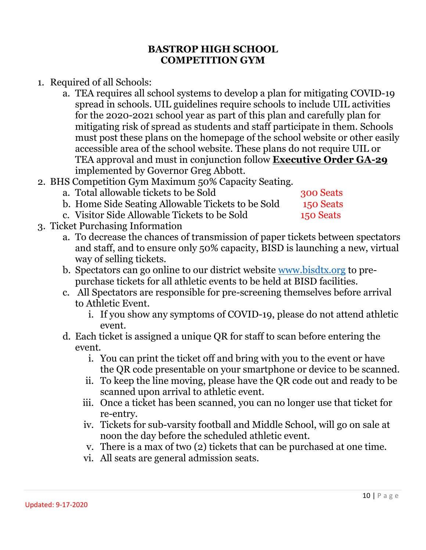#### **BASTROP HIGH SCHOOL COMPETITION GYM**

- 1. Required of all Schools:
	- a. TEA requires all school systems to develop a plan for mitigating COVID-19 spread in schools. UIL guidelines require schools to include UIL activities for the 2020-2021 school year as part of this plan and carefully plan for mitigating risk of spread as students and staff participate in them. Schools must post these plans on the homepage of the school website or other easily accessible area of the school website. These plans do not require UIL or TEA approval and must in conjunction follow **Executive Order GA-29** implemented by Governor Greg Abbott.
- 2. BHS Competition Gym Maximum 50% Capacity Seating.
	- a. Total allowable tickets to be Sold 300 Seats
		-
	- b. Home Side Seating Allowable Tickets to be Sold 150 Seats c. Visitor Side Allowable Tickets to be Sold 150 Seats
- 3. Ticket Purchasing Information
	- a. To decrease the chances of transmission of paper tickets between spectators and staff, and to ensure only 50% capacity, BISD is launching a new, virtual way of selling tickets.
	- b. Spectators can go online to our district website [www.bisdtx.org](http://www.bisdtx.org/) to prepurchase tickets for all athletic events to be held at BISD facilities.
	- c. All Spectators are responsible for pre-screening themselves before arrival to Athletic Event.
		- i. If you show any symptoms of COVID-19, please do not attend athletic event.
	- d. Each ticket is assigned a unique QR for staff to scan before entering the event.
		- i. You can print the ticket off and bring with you to the event or have the QR code presentable on your smartphone or device to be scanned.
		- ii. To keep the line moving, please have the QR code out and ready to be scanned upon arrival to athletic event.
		- iii. Once a ticket has been scanned, you can no longer use that ticket for re-entry.
		- iv. Tickets for sub-varsity football and Middle School, will go on sale at noon the day before the scheduled athletic event.
		- v. There is a max of two (2) tickets that can be purchased at one time.
		- vi. All seats are general admission seats.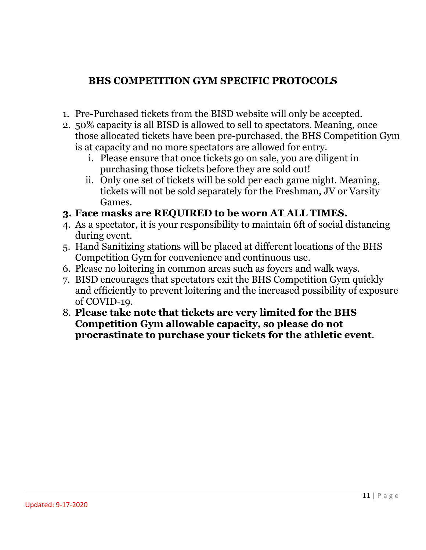#### **BHS COMPETITION GYM SPECIFIC PROTOCOLS**

- 1. Pre-Purchased tickets from the BISD website will only be accepted.
- 2. 50% capacity is all BISD is allowed to sell to spectators. Meaning, once those allocated tickets have been pre-purchased, the BHS Competition Gym is at capacity and no more spectators are allowed for entry.
	- i. Please ensure that once tickets go on sale, you are diligent in purchasing those tickets before they are sold out!
	- ii. Only one set of tickets will be sold per each game night. Meaning, tickets will not be sold separately for the Freshman, JV or Varsity Games.

#### **3. Face masks are REQUIRED to be worn AT ALL TIMES.**

- 4. As a spectator, it is your responsibility to maintain 6ft of social distancing during event.
- 5. Hand Sanitizing stations will be placed at different locations of the BHS Competition Gym for convenience and continuous use.
- 6. Please no loitering in common areas such as foyers and walk ways.
- 7. BISD encourages that spectators exit the BHS Competition Gym quickly and efficiently to prevent loitering and the increased possibility of exposure of COVID-19.
- 8. **Please take note that tickets are very limited for the BHS Competition Gym allowable capacity, so please do not procrastinate to purchase your tickets for the athletic event**.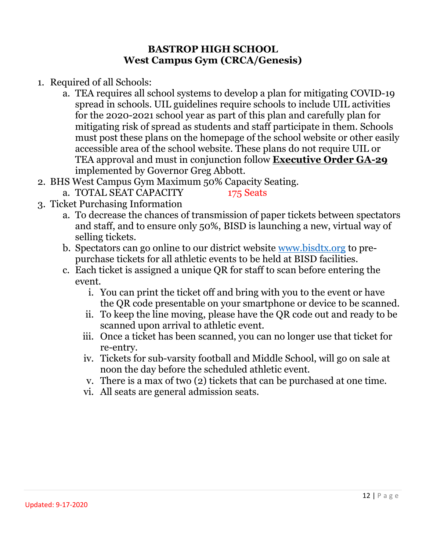#### **BASTROP HIGH SCHOOL West Campus Gym (CRCA/Genesis)**

- 1. Required of all Schools:
	- a. TEA requires all school systems to develop a plan for mitigating COVID-19 spread in schools. UIL guidelines require schools to include UIL activities for the 2020-2021 school year as part of this plan and carefully plan for mitigating risk of spread as students and staff participate in them. Schools must post these plans on the homepage of the school website or other easily accessible area of the school website. These plans do not require UIL or TEA approval and must in conjunction follow **Executive Order GA-29** implemented by Governor Greg Abbott.
- 2. BHS West Campus Gym Maximum 50% Capacity Seating.
	- a. TOTAL SEAT CAPACITY 175 Seats

- 3. Ticket Purchasing Information
	- a. To decrease the chances of transmission of paper tickets between spectators and staff, and to ensure only 50%, BISD is launching a new, virtual way of selling tickets.
	- b. Spectators can go online to our district website [www.bisdtx.org](http://www.bisdtx.org/) to prepurchase tickets for all athletic events to be held at BISD facilities.
	- c. Each ticket is assigned a unique QR for staff to scan before entering the event.
		- i. You can print the ticket off and bring with you to the event or have the QR code presentable on your smartphone or device to be scanned.
		- ii. To keep the line moving, please have the QR code out and ready to be scanned upon arrival to athletic event.
		- iii. Once a ticket has been scanned, you can no longer use that ticket for re-entry.
		- iv. Tickets for sub-varsity football and Middle School, will go on sale at noon the day before the scheduled athletic event.
		- v. There is a max of two (2) tickets that can be purchased at one time.
		- vi. All seats are general admission seats.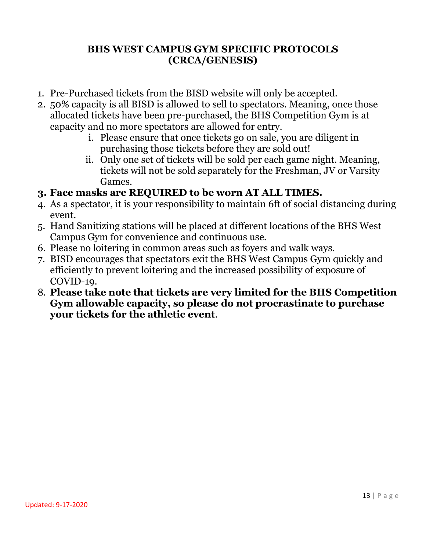#### **BHS WEST CAMPUS GYM SPECIFIC PROTOCOLS (CRCA/GENESIS)**

- 1. Pre-Purchased tickets from the BISD website will only be accepted.
- 2. 50% capacity is all BISD is allowed to sell to spectators. Meaning, once those allocated tickets have been pre-purchased, the BHS Competition Gym is at capacity and no more spectators are allowed for entry.
	- i. Please ensure that once tickets go on sale, you are diligent in purchasing those tickets before they are sold out!
	- ii. Only one set of tickets will be sold per each game night. Meaning, tickets will not be sold separately for the Freshman, JV or Varsity Games.
- **3. Face masks are REQUIRED to be worn AT ALL TIMES.**
- 4. As a spectator, it is your responsibility to maintain 6ft of social distancing during event.
- 5. Hand Sanitizing stations will be placed at different locations of the BHS West Campus Gym for convenience and continuous use.
- 6. Please no loitering in common areas such as foyers and walk ways.
- 7. BISD encourages that spectators exit the BHS West Campus Gym quickly and efficiently to prevent loitering and the increased possibility of exposure of COVID-19.
- 8. **Please take note that tickets are very limited for the BHS Competition Gym allowable capacity, so please do not procrastinate to purchase your tickets for the athletic event**.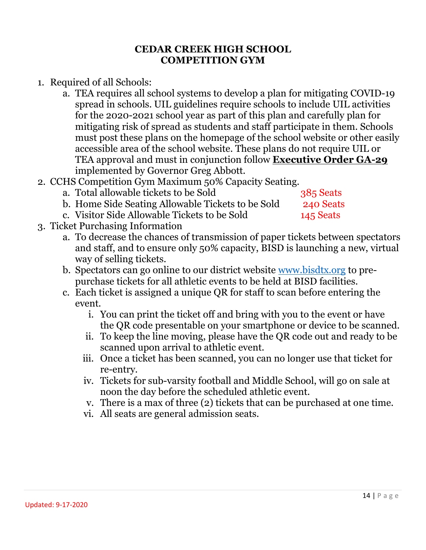#### **CEDAR CREEK HIGH SCHOOL COMPETITION GYM**

- 1. Required of all Schools:
	- a. TEA requires all school systems to develop a plan for mitigating COVID-19 spread in schools. UIL guidelines require schools to include UIL activities for the 2020-2021 school year as part of this plan and carefully plan for mitigating risk of spread as students and staff participate in them. Schools must post these plans on the homepage of the school website or other easily accessible area of the school website. These plans do not require UIL or TEA approval and must in conjunction follow **Executive Order GA-29** implemented by Governor Greg Abbott.
- 2. CCHS Competition Gym Maximum 50% Capacity Seating.
	- a. Total allowable tickets to be Sold 385 Seats
		-
	- b. Home Side Seating Allowable Tickets to be Sold 240 Seats c. Visitor Side Allowable Tickets to be Sold 145 Seats
		-

- 3. Ticket Purchasing Information
	- a. To decrease the chances of transmission of paper tickets between spectators and staff, and to ensure only 50% capacity, BISD is launching a new, virtual way of selling tickets.
	- b. Spectators can go online to our district website [www.bisdtx.org](http://www.bisdtx.org/) to prepurchase tickets for all athletic events to be held at BISD facilities.
	- c. Each ticket is assigned a unique QR for staff to scan before entering the event.
		- i. You can print the ticket off and bring with you to the event or have the QR code presentable on your smartphone or device to be scanned.
		- ii. To keep the line moving, please have the QR code out and ready to be scanned upon arrival to athletic event.
		- iii. Once a ticket has been scanned, you can no longer use that ticket for re-entry.
		- iv. Tickets for sub-varsity football and Middle School, will go on sale at noon the day before the scheduled athletic event.
		- v. There is a max of three (2) tickets that can be purchased at one time.
		- vi. All seats are general admission seats.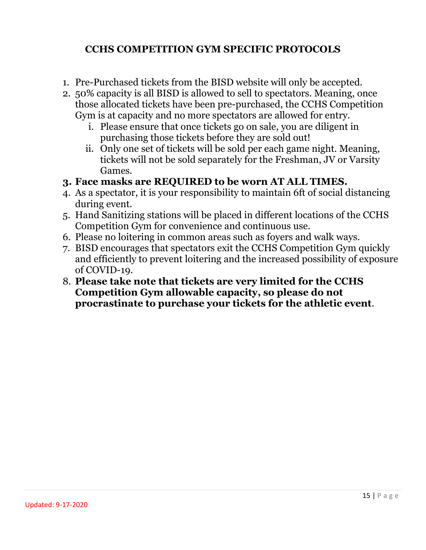#### **CCHS COMPETITION GYM SPECIFIC PROTOCOLS**

- 1. Pre-Purchased tickets from the BISD website will only be accepted.
- 2. 50% capacity is all BISD is allowed to sell to spectators. Meaning, once those allocated tickets have been pre-purchased, the CCHS Competition Gym is at capacity and no more spectators are allowed for entry.
	- i. Please ensure that once tickets go on sale, you are diligent in purchasing those tickets before they are sold out!
	- ii. Only one set of tickets will be sold per each game night. Meaning, tickets will not be sold separately for the Freshman, JV or Varsity Games.
- **3. Face masks are REQUIRED to be worn AT ALL TIMES.**
- 4. As a spectator, it is your responsibility to maintain 6ft of social distancing during event.
- 5. Hand Sanitizing stations will be placed in different locations of the CCHS Competition Gym for convenience and continuous use.
- 6. Please no loitering in common areas such as foyers and walk ways.
- 7. BISD encourages that spectators exit the CCHS Competition Gym quickly and efficiently to prevent loitering and the increased possibility of exposure of COVID-19.
- 8. **Please take note that tickets are very limited for the CCHS Competition Gym allowable capacity, so please do not procrastinate to purchase your tickets for the athletic event**.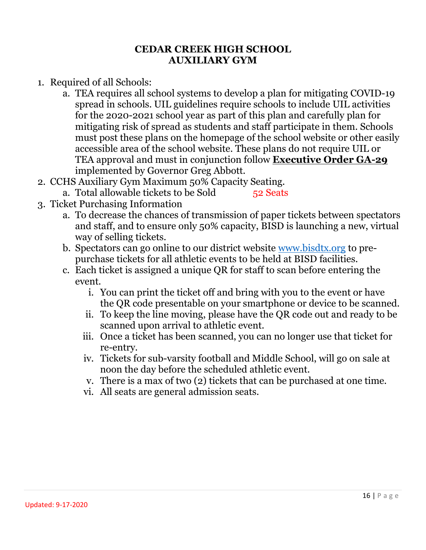#### **CEDAR CREEK HIGH SCHOOL AUXILIARY GYM**

- 1. Required of all Schools:
	- a. TEA requires all school systems to develop a plan for mitigating COVID-19 spread in schools. UIL guidelines require schools to include UIL activities for the 2020-2021 school year as part of this plan and carefully plan for mitigating risk of spread as students and staff participate in them. Schools must post these plans on the homepage of the school website or other easily accessible area of the school website. These plans do not require UIL or TEA approval and must in conjunction follow **Executive Order GA-29** implemented by Governor Greg Abbott.
- 2. CCHS Auxiliary Gym Maximum 50% Capacity Seating.
	- a. Total allowable tickets to be Sold 52 Seats
- 3. Ticket Purchasing Information
	- a. To decrease the chances of transmission of paper tickets between spectators and staff, and to ensure only 50% capacity, BISD is launching a new, virtual way of selling tickets.
	- b. Spectators can go online to our district website [www.bisdtx.org](http://www.bisdtx.org/) to prepurchase tickets for all athletic events to be held at BISD facilities.
	- c. Each ticket is assigned a unique QR for staff to scan before entering the event.
		- i. You can print the ticket off and bring with you to the event or have the QR code presentable on your smartphone or device to be scanned.
		- ii. To keep the line moving, please have the QR code out and ready to be scanned upon arrival to athletic event.
		- iii. Once a ticket has been scanned, you can no longer use that ticket for re-entry.
		- iv. Tickets for sub-varsity football and Middle School, will go on sale at noon the day before the scheduled athletic event.
		- v. There is a max of two (2) tickets that can be purchased at one time.
		- vi. All seats are general admission seats.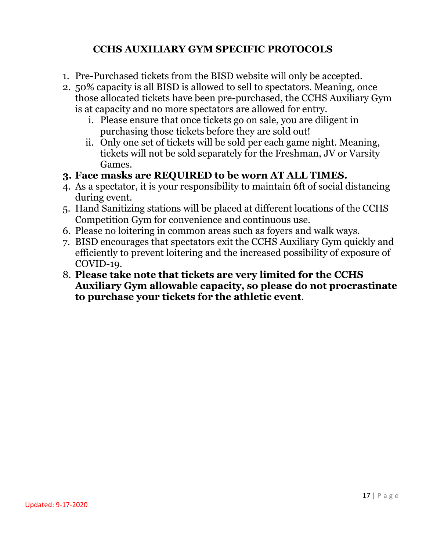#### **CCHS AUXILIARY GYM SPECIFIC PROTOCOLS**

- 1. Pre-Purchased tickets from the BISD website will only be accepted.
- 2. 50% capacity is all BISD is allowed to sell to spectators. Meaning, once those allocated tickets have been pre-purchased, the CCHS Auxiliary Gym is at capacity and no more spectators are allowed for entry.
	- i. Please ensure that once tickets go on sale, you are diligent in purchasing those tickets before they are sold out!
	- ii. Only one set of tickets will be sold per each game night. Meaning, tickets will not be sold separately for the Freshman, JV or Varsity Games.
- **3. Face masks are REQUIRED to be worn AT ALL TIMES.**
- 4. As a spectator, it is your responsibility to maintain 6ft of social distancing during event.
- 5. Hand Sanitizing stations will be placed at different locations of the CCHS Competition Gym for convenience and continuous use.
- 6. Please no loitering in common areas such as foyers and walk ways.
- 7. BISD encourages that spectators exit the CCHS Auxiliary Gym quickly and efficiently to prevent loitering and the increased possibility of exposure of COVID-19.
- 8. **Please take note that tickets are very limited for the CCHS Auxiliary Gym allowable capacity, so please do not procrastinate to purchase your tickets for the athletic event**.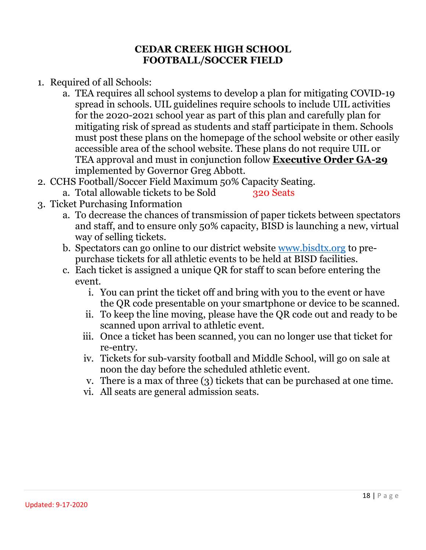#### **CEDAR CREEK HIGH SCHOOL FOOTBALL/SOCCER FIELD**

- 1. Required of all Schools:
	- a. TEA requires all school systems to develop a plan for mitigating COVID-19 spread in schools. UIL guidelines require schools to include UIL activities for the 2020-2021 school year as part of this plan and carefully plan for mitigating risk of spread as students and staff participate in them. Schools must post these plans on the homepage of the school website or other easily accessible area of the school website. These plans do not require UIL or TEA approval and must in conjunction follow **Executive Order GA-29** implemented by Governor Greg Abbott.
- 2. CCHS Football/Soccer Field Maximum 50% Capacity Seating.
	- a. Total allowable tickets to be Sold 320 Seats
- 3. Ticket Purchasing Information
	- a. To decrease the chances of transmission of paper tickets between spectators and staff, and to ensure only 50% capacity, BISD is launching a new, virtual way of selling tickets.
	- b. Spectators can go online to our district website [www.bisdtx.org](http://www.bisdtx.org/) to prepurchase tickets for all athletic events to be held at BISD facilities.
	- c. Each ticket is assigned a unique QR for staff to scan before entering the event.
		- i. You can print the ticket off and bring with you to the event or have the QR code presentable on your smartphone or device to be scanned.
		- ii. To keep the line moving, please have the QR code out and ready to be scanned upon arrival to athletic event.
		- iii. Once a ticket has been scanned, you can no longer use that ticket for re-entry.
		- iv. Tickets for sub-varsity football and Middle School, will go on sale at noon the day before the scheduled athletic event.
		- v. There is a max of three (3) tickets that can be purchased at one time.
		- vi. All seats are general admission seats.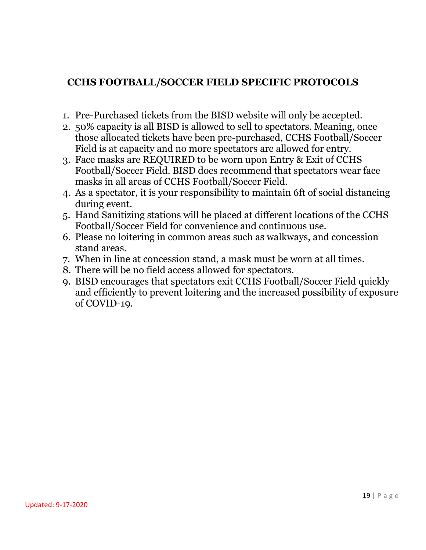#### **CCHS FOOTBALL/SOCCER FIELD SPECIFIC PROTOCOLS**

- 1. Pre-Purchased tickets from the BISD website will only be accepted.
- 2. 50% capacity is all BISD is allowed to sell to spectators. Meaning, once those allocated tickets have been pre-purchased, CCHS Football/Soccer Field is at capacity and no more spectators are allowed for entry.
- 3. Face masks are REQUIRED to be worn upon Entry & Exit of CCHS Football/Soccer Field. BISD does recommend that spectators wear face masks in all areas of CCHS Football/Soccer Field.
- 4. As a spectator, it is your responsibility to maintain 6ft of social distancing during event.
- 5. Hand Sanitizing stations will be placed at different locations of the CCHS Football/Soccer Field for convenience and continuous use.
- 6. Please no loitering in common areas such as walkways, and concession stand areas.
- 7. When in line at concession stand, a mask must be worn at all times.
- 8. There will be no field access allowed for spectators.
- 9. BISD encourages that spectators exit CCHS Football/Soccer Field quickly and efficiently to prevent loitering and the increased possibility of exposure of COVID-19.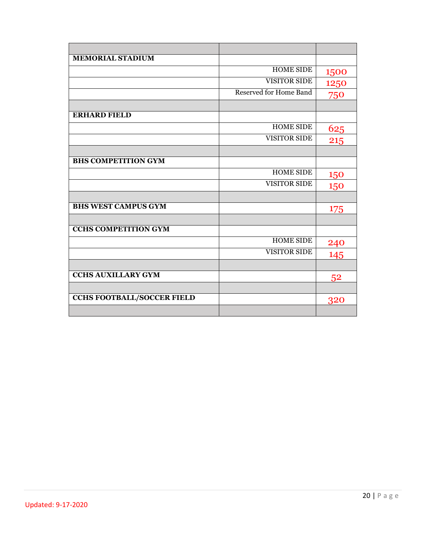| <b>MEMORIAL STADIUM</b>           |                        |      |
|-----------------------------------|------------------------|------|
|                                   | HOME SIDE              | 1500 |
|                                   | <b>VISITOR SIDE</b>    | 1250 |
|                                   | Reserved for Home Band | 750  |
|                                   |                        |      |
| <b>ERHARD FIELD</b>               |                        |      |
|                                   | <b>HOME SIDE</b>       | 625  |
|                                   | <b>VISITOR SIDE</b>    | 215  |
|                                   |                        |      |
| <b>BHS COMPETITION GYM</b>        |                        |      |
|                                   | <b>HOME SIDE</b>       | 150  |
|                                   | <b>VISITOR SIDE</b>    | 150  |
|                                   |                        |      |
| <b>BHS WEST CAMPUS GYM</b>        |                        | 175  |
|                                   |                        |      |
| <b>CCHS COMPETITION GYM</b>       |                        |      |
|                                   | <b>HOME SIDE</b>       | 240  |
|                                   | <b>VISITOR SIDE</b>    | 145  |
|                                   |                        |      |
| <b>CCHS AUXILLARY GYM</b>         |                        | 52   |
|                                   |                        |      |
| <b>CCHS FOOTBALL/SOCCER FIELD</b> |                        | 320  |
|                                   |                        |      |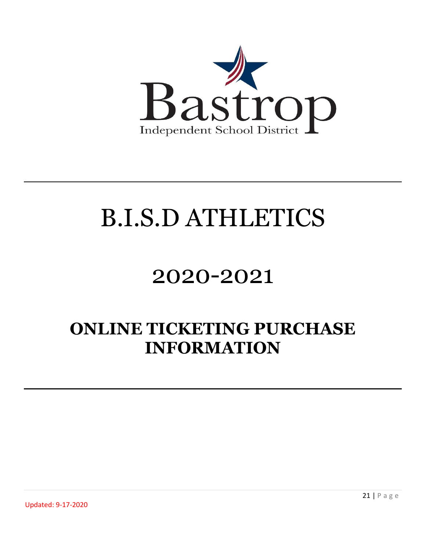

## 2020-2021

### **ONLINE TICKETING PURCHASE INFORMATION**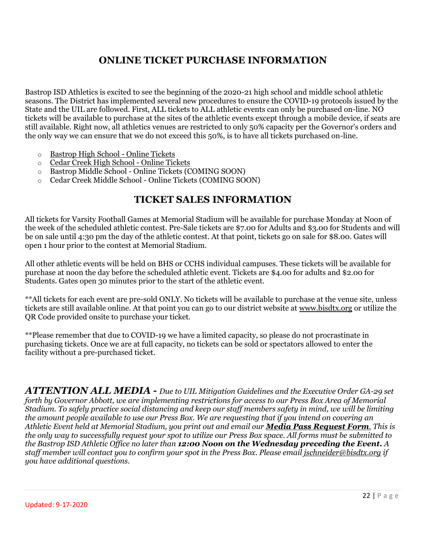#### **ONLINE TICKET PURCHASE INFORMATION**

Bastrop ISD Athletics is excited to see the beginning of the 2020-21 high school and middle school athletic seasons. The District has implemented several new procedures to ensure the COVID-19 protocols issued by the State and the UIL are followed. First, ALL tickets to ALL athletic events can only be purchased on-line. NO tickets will be available to purchase at the sites of the athletic events except through a mobile device, if seats are still available. Right now, all athletics venues are restricted to only 50% capacity per the Governor's orders and the only way we can ensure that we do not exceed this 50%, is to have all tickets purchased on-line.

- o [Bastrop High School -](https://www.bisdtx.org/Page/7938) Online Tickets
- o [Cedar Creek High School -](https://www.bisdtx.org/Page/7972) Online Tickets
- o Bastrop Middle School Online Tickets (COMING SOON)
- o Cedar Creek Middle School Online Tickets (COMING SOON)

#### **TICKET SALES INFORMATION**

All tickets for Varsity Football Games at Memorial Stadium will be available for purchase Monday at Noon of the week of the scheduled athletic contest. Pre-Sale tickets are \$7.00 for Adults and \$3.00 for Students and will be on sale until 4:30 pm the day of the athletic contest. At that point, tickets go on sale for \$8.00. Gates will open 1 hour prior to the contest at Memorial Stadium.

All other athletic events will be held on BHS or CCHS individual campuses. These tickets will be available for purchase at noon the day before the scheduled athletic event. Tickets are \$4.00 for adults and \$2.00 for Students. Gates open 30 minutes prior to the start of the athletic event.

\*\*All tickets for each event are pre-sold ONLY. No tickets will be available to purchase at the venue site, unless tickets are still available online. At that point you can go to our district website at [www.bisdtx.org](http://www.bisdtx.org/) or utilize the QR Code provided onsite to purchase your ticket.

\*\*Please remember that due to COVID-19 we have a limited capacity, so please do not procrastinate in purchasing tickets. Once we are at full capacity, no tickets can be sold or spectators allowed to enter the facility without a pre-purchased ticket.

*ATTENTION ALL MEDIA - Due to UIL Mitigation Guidelines and the Executive Order GA-29 set forth by Governor Abbott, we are implementing restrictions for access to our Press Box Area of Memorial Stadium. To safely practice social distancing and keep our staff members safety in mind, we will be limiting the amount people available to use our Press Box. We are requesting that if you intend on covering an Athletic Event held at Memorial Stadium, you print out and email our [Media Pass Request Form](https://www.bisdtx.org/cms/lib/TX02218757/Centricity/Domain/45/MEDIA%20PASS%20REQUEST.pdf). This is the only way to successfully request your spot to utilize our Press Box space. All forms must be submitted to the Bastrop ISD Athletic Office no later than 12:00 Noon on the Wednesday preceding the Event. A staff member will contact you to confirm your spot in the Press Box. Please email [jschneider@bisdtx.org](mailto:jschneider@bisdtx.org) if you have additional questions.*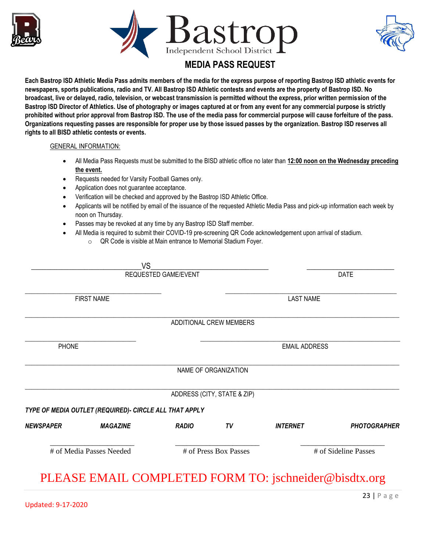





#### **MEDIA PASS REQUEST**

**Each Bastrop ISD Athletic Media Pass admits members of the media for the express purpose of reporting Bastrop ISD athletic events for newspapers, sports publications, radio and TV. All Bastrop ISD Athletic contests and events are the property of Bastrop ISD. No broadcast, live or delayed, radio, television, or webcast transmission is permitted without the express, prior written permission of the Bastrop ISD Director of Athletics. Use of photography or images captured at or from any event for any commercial purpose is strictly prohibited without prior approval from Bastrop ISD. The use of the media pass for commercial purpose will cause forfeiture of the pass. Organizations requesting passes are responsible for proper use by those issued passes by the organization. Bastrop ISD reserves all rights to all BISD athletic contests or events.** 

#### GENERAL INFORMATION:

- All Media Pass Requests must be submitted to the BISD athletic office no later than **12:00 noon on the Wednesday preceding the event.**
- Requests needed for Varsity Football Games only.
- Application does not guarantee acceptance.
- Verification will be checked and approved by the Bastrop ISD Athletic Office.
- Applicants will be notified by email of the issuance of the requested Athletic Media Pass and pick-up information each week by noon on Thursday.
- Passes may be revoked at any time by any Bastrop ISD Staff member.
- All Media is required to submit their COVID-19 pre-screening QR Code acknowledgement upon arrival of stadium.
	- o QR Code is visible at Main entrance to Memorial Stadium Foyer.

|                      | # of Media Passes Needed                               |              | # of Press Box Passes       |                      | # of Sideline Passes |
|----------------------|--------------------------------------------------------|--------------|-----------------------------|----------------------|----------------------|
| <b>NEWSPAPER</b>     | <b>MAGAZINE</b>                                        | <b>RADIO</b> | TV                          | <b>INTERNET</b>      | <b>PHOTOGRAPHER</b>  |
|                      | TYPE OF MEDIA OUTLET (REQUIRED)- CIRCLE ALL THAT APPLY |              |                             |                      |                      |
|                      |                                                        |              | ADDRESS (CITY, STATE & ZIP) |                      |                      |
|                      |                                                        |              | NAME OF ORGANIZATION        |                      |                      |
| <b>PHONE</b>         |                                                        |              |                             | <b>EMAIL ADDRESS</b> |                      |
|                      |                                                        |              |                             |                      |                      |
|                      |                                                        |              | ADDITIONAL CREW MEMBERS     |                      |                      |
|                      | <b>FIRST NAME</b>                                      |              |                             | <b>LAST NAME</b>     |                      |
|                      |                                                        |              |                             |                      |                      |
| REQUESTED GAME/EVENT |                                                        |              |                             | <b>DATE</b>          |                      |
|                      | <b>VS</b>                                              |              |                             |                      |                      |

#### PLEASE EMAIL COMPLETED FORM TO: jschneider@bisdtx.org